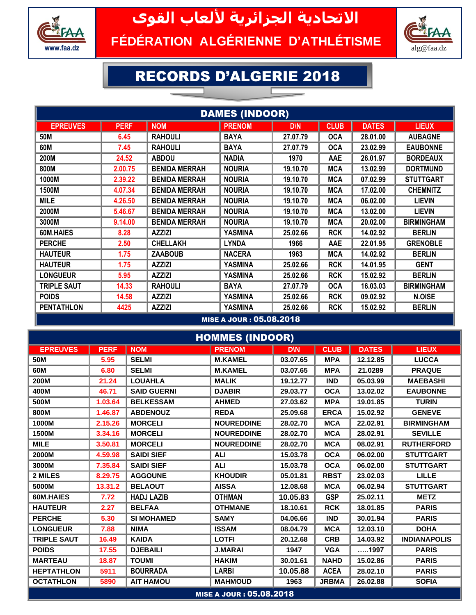

## **االتحادية الجزائرية أللعاب القوى** FÉDÉRATION ALGÉRIENNE D'ATHLÉTISME



## RECORDS D'ALGERIE 2018

| <b>DAMES (INDOOR)</b> |             |                      |                          |            |             |              |                   |  |  |  |  |
|-----------------------|-------------|----------------------|--------------------------|------------|-------------|--------------|-------------------|--|--|--|--|
| <b>EPREUVES</b>       | <b>PERF</b> | <b>NOM</b>           | <b>PRENOM</b>            | <b>D\N</b> | <b>CLUB</b> | <b>DATES</b> | <b>LIEUX</b>      |  |  |  |  |
| 50M                   | 6.45        | <b>RAHOULI</b>       | <b>BAYA</b>              | 27.07.79   | <b>OCA</b>  | 28.01.00     | <b>AUBAGNE</b>    |  |  |  |  |
| 60M                   | 7.45        | <b>RAHOULI</b>       | <b>BAYA</b>              | 27.07.79   | <b>OCA</b>  | 23.02.99     | <b>EAUBONNE</b>   |  |  |  |  |
| 200M                  | 24.52       | <b>ABDOU</b>         | <b>NADIA</b>             | 1970       | <b>AAE</b>  | 26.01.97     | <b>BORDEAUX</b>   |  |  |  |  |
| 800M                  | 2.00.75     | <b>BENIDA MERRAH</b> | <b>NOURIA</b>            | 19.10.70   | <b>MCA</b>  | 13.02.99     | <b>DORTMUND</b>   |  |  |  |  |
| 1000M                 | 2.39.22     | <b>BENIDA MERRAH</b> | <b>NOURIA</b>            | 19.10.70   | <b>MCA</b>  | 07.02.99     | <b>STUTTGART</b>  |  |  |  |  |
| 1500M                 | 4.07.34     | <b>BENIDA MERRAH</b> | <b>NOURIA</b>            | 19.10.70   | <b>MCA</b>  | 17.02.00     | <b>CHEMNITZ</b>   |  |  |  |  |
| <b>MILE</b>           | 4.26.50     | <b>BENIDA MERRAH</b> | <b>NOURIA</b>            | 19.10.70   | <b>MCA</b>  | 06.02.00     | <b>LIEVIN</b>     |  |  |  |  |
| 2000M                 | 5.46.67     | <b>BENIDA MERRAH</b> | <b>NOURIA</b>            | 19.10.70   | <b>MCA</b>  | 13.02.00     | <b>LIEVIN</b>     |  |  |  |  |
| 3000M                 | 9.14.00     | <b>BENIDA MERRAH</b> | <b>NOURIA</b>            | 19.10.70   | <b>MCA</b>  | 20.02.00     | <b>BIRMINGHAM</b> |  |  |  |  |
| 60M.HAIES             | 8.28        | <b>AZZIZI</b>        | <b>YASMINA</b>           | 25.02.66   | <b>RCK</b>  | 14.02.92     | <b>BERLIN</b>     |  |  |  |  |
| <b>PERCHE</b>         | 2.50        | <b>CHELLAKH</b>      | <b>LYNDA</b>             | 1966       | AAE         | 22.01.95     | <b>GRENOBLE</b>   |  |  |  |  |
| <b>HAUTEUR</b>        | 1.75        | <b>ZAABOUB</b>       | <b>NACERA</b>            | 1963       | <b>MCA</b>  | 14.02.92     | <b>BERLIN</b>     |  |  |  |  |
| <b>HAUTEUR</b>        | 1.75        | <b>AZZIZI</b>        | YASMINA                  | 25.02.66   | <b>RCK</b>  | 14.01.95     | <b>GENT</b>       |  |  |  |  |
| <b>LONGUEUR</b>       | 5.95        | <b>AZZIZI</b>        | YASMINA                  | 25.02.66   | <b>RCK</b>  | 15.02.92     | <b>BERLIN</b>     |  |  |  |  |
| <b>TRIPLE SAUT</b>    | 14.33       | <b>RAHOULI</b>       | <b>BAYA</b>              | 27.07.79   | <b>OCA</b>  | 16.03.03     | <b>BIRMINGHAM</b> |  |  |  |  |
| <b>POIDS</b>          | 14.58       | <b>AZZIZI</b>        | YASMINA                  | 25.02.66   | <b>RCK</b>  | 09.02.92     | N.OISE            |  |  |  |  |
| <b>PENTATHLON</b>     | 4425        | <b>AZZIZI</b>        | YASMINA                  | 25.02.66   | <b>RCK</b>  | 15.02.92     | <b>BERLIN</b>     |  |  |  |  |
|                       |             |                      | MICE A JOUR . OR OR 2018 |            |             |              |                   |  |  |  |  |

MISE A JOUR : 05.08.2018

| <b>HOMMES (INDOOR)</b> |             |                    |                                 |            |              |              |                     |  |  |  |  |
|------------------------|-------------|--------------------|---------------------------------|------------|--------------|--------------|---------------------|--|--|--|--|
| <b>EPREUVES</b>        | <b>PERF</b> | <b>NOM</b>         | <b>PRENOM</b>                   | <b>D\N</b> | <b>CLUB</b>  | <b>DATES</b> | <b>LIEUX</b>        |  |  |  |  |
| 50M                    | 5.95        | <b>SELMI</b>       | <b>M.KAMEL</b>                  | 03.07.65   | <b>MPA</b>   | 12.12.85     | <b>LUCCA</b>        |  |  |  |  |
| 60M                    | 6.80        | <b>SELMI</b>       | <b>M.KAMEL</b>                  | 03.07.65   | <b>MPA</b>   | 21.0289      | <b>PRAQUE</b>       |  |  |  |  |
| 200M                   | 21.24       | <b>LOUAHLA</b>     | <b>MALIK</b>                    | 19.12.77   | <b>IND</b>   | 05.03.99     | <b>MAEBASHI</b>     |  |  |  |  |
| 400M                   | 46.71       | <b>SAID GUERNI</b> | <b>DJABIR</b>                   | 29.03.77   | <b>OCA</b>   | 13.02.02     | <b>EAUBONNE</b>     |  |  |  |  |
| 500M                   | 1.03.64     | <b>BELKESSAM</b>   | <b>AHMED</b>                    | 27.03.62   | <b>MPA</b>   | 19.01.85     | <b>TURIN</b>        |  |  |  |  |
| 800M                   | 1.46.87     | <b>ABDENOUZ</b>    | <b>REDA</b>                     | 25.09.68   | <b>ERCA</b>  | 15.02.92     | <b>GENEVE</b>       |  |  |  |  |
| 1000M                  | 2.15.26     | <b>MORCELI</b>     | <b>NOUREDDINE</b>               | 28.02.70   | <b>MCA</b>   | 22.02.91     | <b>BIRMINGHAM</b>   |  |  |  |  |
| 1500M                  | 3.34.16     | <b>MORCELI</b>     | <b>NOUREDDINE</b>               | 28.02.70   | <b>MCA</b>   | 28.02.91     | <b>SEVILLE</b>      |  |  |  |  |
| <b>MILE</b>            | 3.50.81     | <b>MORCELI</b>     | <b>NOUREDDINE</b>               | 28.02.70   | <b>MCA</b>   | 08.02.91     | <b>RUTHERFORD</b>   |  |  |  |  |
| 2000M                  | 4.59.98     | <b>SAIDI SIEF</b>  | <b>ALI</b>                      | 15.03.78   | <b>OCA</b>   | 06.02.00     | <b>STUTTGART</b>    |  |  |  |  |
| 3000M                  | 7.35.84     | <b>SAIDI SIEF</b>  | <b>ALI</b>                      | 15,03.78   | <b>OCA</b>   | 06.02.00     | <b>STUTTGART</b>    |  |  |  |  |
| 2 MILES                | 8.29.75     | <b>AGGOUNE</b>     | <b>KHOUDIR</b>                  | 05.01.81   | <b>RBST</b>  | 23.02.03     | <b>LILLE</b>        |  |  |  |  |
| 5000M                  | 13.31.2     | <b>BELAOUT</b>     | <b>AISSA</b>                    | 12.08.68   | <b>MCA</b>   | 06.02.94     | <b>STUTTGART</b>    |  |  |  |  |
| 60M.HAIES              | 7.72        | <b>HADJ LAZIB</b>  | <b>OTHMAN</b>                   | 10.05.83   | <b>GSP</b>   | 25.02.11     | <b>METZ</b>         |  |  |  |  |
| <b>HAUTEUR</b>         | 2.27        | <b>BELFAA</b>      | <b>OTHMANE</b>                  | 18.10.61   | <b>RCK</b>   | 18.01.85     | <b>PARIS</b>        |  |  |  |  |
| <b>PERCHE</b>          | 5.30        | <b>SI MOHAMED</b>  | <b>SAMY</b>                     | 04.06.66   | <b>IND</b>   | 30.01.94     | <b>PARIS</b>        |  |  |  |  |
| <b>LONGUEUR</b>        | 7.88        | <b>NIMA</b>        | <b>ISSAM</b>                    | 08.04.79   | <b>MCA</b>   | 12.03.10     | <b>DOHA</b>         |  |  |  |  |
| <b>TRIPLE SAUT</b>     | 16.49       | <b>KAIDA</b>       | <b>LOTFI</b>                    | 20.12.68   | <b>CRB</b>   | 14.03.92     | <b>INDIANAPOLIS</b> |  |  |  |  |
| <b>POIDS</b>           | 17.55       | <b>DJEBAILI</b>    | <b>J.MARAI</b>                  | 1947       | <b>VGA</b>   | 1997         | <b>PARIS</b>        |  |  |  |  |
| <b>MARTEAU</b>         | 18.87       | <b>TOUMI</b>       | <b>HAKIM</b>                    | 30.01.61   | <b>NAHD</b>  | 15.02.86     | <b>PARIS</b>        |  |  |  |  |
| <b>HEPTATHLON</b>      | 5911        | <b>BOURRADA</b>    | <b>LARBI</b>                    | 10.05.88   | <b>ACEA</b>  | 28.02.10     | <b>PARIS</b>        |  |  |  |  |
| <b>OCTATHLON</b>       | 5890        | <b>AIT HAMOU</b>   | <b>MAHMOUD</b>                  | 1963       | <b>JRBMA</b> | 26.02.88     | <b>SOFIA</b>        |  |  |  |  |
|                        |             |                    | <b>MISE A JOUR : 05.08.2018</b> |            |              |              |                     |  |  |  |  |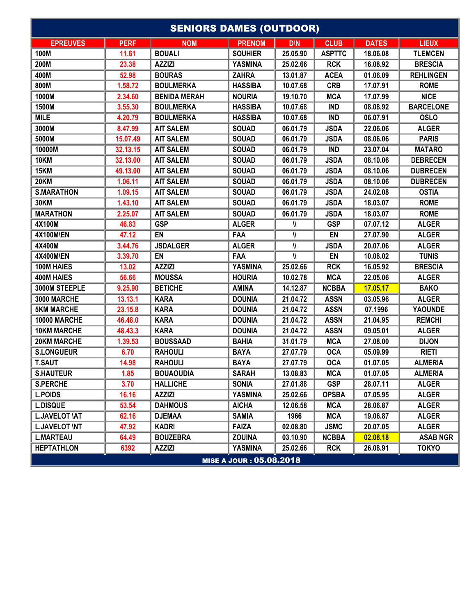| <b>SENIORS DAMES (OUTDOOR)</b> |             |                     |                          |            |               |              |                  |  |  |  |
|--------------------------------|-------------|---------------------|--------------------------|------------|---------------|--------------|------------------|--|--|--|
| <b>EPREUVES</b>                | <b>PERF</b> | <b>NOM</b>          | <b>PRENOM</b>            | <b>D\N</b> | <b>CLUB</b>   | <b>DATES</b> | <b>LIEUX</b>     |  |  |  |
| 100M                           | 11.61       | <b>BOUALI</b>       | <b>SOUHIER</b>           | 25.05.90   | <b>ASPTTC</b> | 18.06.08     | <b>TLEMCEN</b>   |  |  |  |
| 200M                           | 23.38       | <b>AZZIZI</b>       | <b>YASMINA</b>           | 25.02.66   | <b>RCK</b>    | 16.08.92     | <b>BRESCIA</b>   |  |  |  |
| 400M                           | 52.98       | <b>BOURAS</b>       | <b>ZAHRA</b>             | 13.01.87   | <b>ACEA</b>   | 01.06.09     | <b>REHLINGEN</b> |  |  |  |
| 800M                           | 1.58.72     | <b>BOULMERKA</b>    | <b>HASSIBA</b>           | 10.07.68   | <b>CRB</b>    | 17.07.91     | <b>ROME</b>      |  |  |  |
| 1000M                          | 2.34.60     | <b>BENIDA MERAH</b> | <b>NOURIA</b>            | 19.10.70   | <b>MCA</b>    | 17.07.99     | <b>NICE</b>      |  |  |  |
| 1500M                          | 3.55.30     | <b>BOULMERKA</b>    | <b>HASSIBA</b>           | 10.07.68   | <b>IND</b>    | 08.08.92     | <b>BARCELONE</b> |  |  |  |
| <b>MILE</b>                    | 4.20.79     | <b>BOULMERKA</b>    | <b>HASSIBA</b>           | 10.07.68   | <b>IND</b>    | 06.07.91     | <b>OSLO</b>      |  |  |  |
| 3000M                          | 8.47.99     | <b>AIT SALEM</b>    | <b>SOUAD</b>             | 06.01.79   | <b>JSDA</b>   | 22.06.06     | <b>ALGER</b>     |  |  |  |
| 5000M                          | 15.07.49    | <b>AIT SALEM</b>    | <b>SOUAD</b>             | 06.01.79   | <b>JSDA</b>   | 08.06.06     | <b>PARIS</b>     |  |  |  |
| 10000M                         | 32.13.15    | <b>AIT SALEM</b>    | <b>SOUAD</b>             | 06.01.79   | <b>IND</b>    | 23.07.04     | <b>MATARO</b>    |  |  |  |
| <b>10KM</b>                    | 32.13.00    | <b>AIT SALEM</b>    | <b>SOUAD</b>             | 06.01.79   | <b>JSDA</b>   | 08.10.06     | <b>DEBRECEN</b>  |  |  |  |
| <b>15KM</b>                    | 49.13.00    | <b>AIT SALEM</b>    | <b>SOUAD</b>             | 06.01.79   | <b>JSDA</b>   | 08.10.06     | <b>DUBRECEN</b>  |  |  |  |
| <b>20KM</b>                    | 1.06.11     | <b>AIT SALEM</b>    | <b>SOUAD</b>             | 06.01.79   | <b>JSDA</b>   | 08.10.06     | <b>DUBRECEN</b>  |  |  |  |
| <b>S.MARATHON</b>              | 1.09.15     | <b>AIT SALEM</b>    | <b>SOUAD</b>             | 06.01.79   | <b>JSDA</b>   | 24.02.08     | <b>OSTIA</b>     |  |  |  |
| <b>30KM</b>                    | 1.43.10     | <b>AIT SALEM</b>    | <b>SOUAD</b>             | 06.01.79   | <b>JSDA</b>   | 18.03.07     | <b>ROME</b>      |  |  |  |
| <b>MARATHON</b>                | 2.25.07     | <b>AIT SALEM</b>    | <b>SOUAD</b>             | 06.01.79   | <b>JSDA</b>   | 18.03.07     | <b>ROME</b>      |  |  |  |
| 4X100M                         | 46.83       | <b>GSP</b>          | <b>ALGER</b>             | И          | <b>GSP</b>    | 07.07.12     | <b>ALGER</b>     |  |  |  |
| <b>4X100M\EN</b>               | 47.12       | EN                  | FAA                      | И          | EN            | 27.07.90     | <b>ALGER</b>     |  |  |  |
| 4X400M                         | 3.44.76     | <b>JSDALGER</b>     | <b>ALGER</b>             | И          | <b>JSDA</b>   | 20.07.06     | <b>ALGER</b>     |  |  |  |
| <b>4X400M\EN</b>               | 3.39.70     | EN                  | FAA                      | И          | EN            | 10.08.02     | <b>TUNIS</b>     |  |  |  |
| <b>100M HAIES</b>              | 13.02       | <b>AZZIZI</b>       | <b>YASMINA</b>           | 25.02.66   | <b>RCK</b>    | 16.05.92     | <b>BRESCIA</b>   |  |  |  |
| <b>400M HAIES</b>              | 56.66       | <b>MOUSSA</b>       | <b>HOURIA</b>            | 10.02.78   | <b>MCA</b>    | 22.05.06     | <b>ALGER</b>     |  |  |  |
| 3000M STEEPLE                  | 9.25.90     | <b>BETICHE</b>      | <b>AMINA</b>             | 14.12.87   | <b>NCBBA</b>  | 17.05.17     | <b>BAKO</b>      |  |  |  |
| 3000 MARCHE                    | 13.13.1     | <b>KARA</b>         | <b>DOUNIA</b>            | 21.04.72   | <b>ASSN</b>   | 03.05.96     | <b>ALGER</b>     |  |  |  |
| <b>5KM MARCHE</b>              | 23.15.8     | <b>KARA</b>         | <b>DOUNIA</b>            | 21.04.72   | <b>ASSN</b>   | 07.1996      | <b>YAOUNDE</b>   |  |  |  |
| <b>10000 MARCHE</b>            | 46.48.0     | <b>KARA</b>         | <b>DOUNIA</b>            | 21.04.72   | <b>ASSN</b>   | 21.04.95     | <b>REMCHI</b>    |  |  |  |
| <b>10KM MARCHE</b>             | 48.43.3     | <b>KARA</b>         | <b>DOUNIA</b>            | 21.04.72   | <b>ASSN</b>   | 09.05.01     | <b>ALGER</b>     |  |  |  |
| <b>20KM MARCHE</b>             | 1.39.53     | <b>BOUSSAAD</b>     | <b>BAHIA</b>             | 31.01.79   | <b>MCA</b>    | 27.08.00     | <b>DIJON</b>     |  |  |  |
| <b>S.LONGUEUR</b>              | 6.70        | <b>RAHOULI</b>      | <b>BAYA</b>              | 27.07.79   | <b>OCA</b>    | 05.09.99     | <b>RIETI</b>     |  |  |  |
| <b>T.SAUT</b>                  | 14.98       | <b>RAHOULI</b>      | <b>BAYA</b>              | 27.07.79   | <b>OCA</b>    | 01.07.05     | <b>ALMERIA</b>   |  |  |  |
| <b>S.HAUTEUR</b>               | 1.85        | <b>BOUAOUDIA</b>    | <b>SARAH</b>             | 13.08.83   | <b>MCA</b>    | 01.07.05     | <b>ALMERIA</b>   |  |  |  |
| <b>S.PERCHE</b>                | 3.70        | <b>HALLICHE</b>     | <b>SONIA</b>             | 27.01.88   | <b>GSP</b>    | 28.07.11     | <b>ALGER</b>     |  |  |  |
| <b>L.POIDS</b>                 | 16.16       | <b>AZZIZI</b>       | <b>YASMINA</b>           | 25.02.66   | <b>OPSBA</b>  | 07.05.95     | <b>ALGER</b>     |  |  |  |
| <b>L.DISQUE</b>                | 53.54       | <b>DAHMOUS</b>      | <b>AICHA</b>             | 12.06.58   | <b>MCA</b>    | 28.06.87     | <b>ALGER</b>     |  |  |  |
| <b>L.JAVELOT \AT</b>           | 62.16       | <b>DJEMAA</b>       | <b>SAMIA</b>             | 1966       | <b>MCA</b>    | 19.06.87     | <b>ALGER</b>     |  |  |  |
| <b>L.JAVELOT \NT</b>           | 47.92       | <b>KADRI</b>        | <b>FAIZA</b>             | 02.08.80   | <b>JSMC</b>   | 20.07.05     | <b>ALGER</b>     |  |  |  |
| <b>L.MARTEAU</b>               | 64.49       | <b>BOUZEBRA</b>     | <b>ZOUINA</b>            | 03.10.90   | <b>NCBBA</b>  | 02.08.18     | <b>ASAB NGR</b>  |  |  |  |
| <b>HEPTATHLON</b>              | 6392        | <b>AZZIZI</b>       | <b>YASMINA</b>           | 25.02.66   | <b>RCK</b>    | 26.08.91     | <b>TOKYO</b>     |  |  |  |
|                                |             |                     | MISE A JOUR : 05.08.2018 |            |               |              |                  |  |  |  |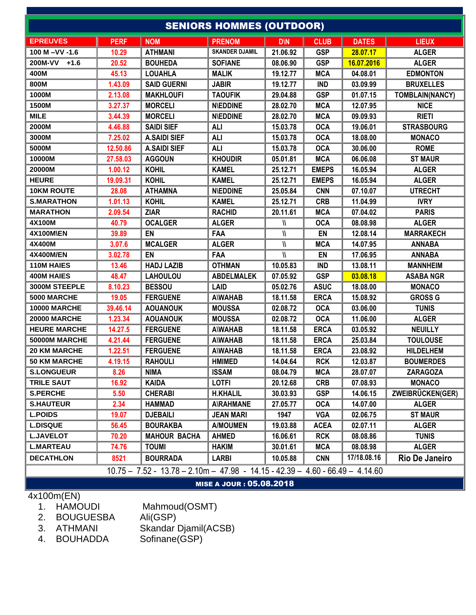|                          |             |                                                                                 | <b>SENIORS HOMMES (OUTDOOR)</b> |            |              |              |                   |  |  |  |  |
|--------------------------|-------------|---------------------------------------------------------------------------------|---------------------------------|------------|--------------|--------------|-------------------|--|--|--|--|
| <b>EPREUVES</b>          | <b>PERF</b> | <b>NOM</b>                                                                      | <b>PRENOM</b>                   | <b>D\N</b> | <b>CLUB</b>  | <b>DATES</b> | <b>LIEUX</b>      |  |  |  |  |
| 100 M-VV-1.6             | 10.29       | <b>ATHMANI</b>                                                                  | <b>SKANDER DJAMIL</b>           | 21.06.92   | <b>GSP</b>   | 28.07.17     | <b>ALGER</b>      |  |  |  |  |
| <b>200M-VV</b><br>$+1.6$ | 20.52       | <b>BOUHEDA</b>                                                                  | <b>SOFIANE</b>                  | 08.06.90   | <b>GSP</b>   | 16.07.2016   | <b>ALGER</b>      |  |  |  |  |
| 400M                     | 45.13       | <b>LOUAHLA</b>                                                                  | <b>MALIK</b>                    | 19.12.77   | <b>MCA</b>   | 04.08.01     | <b>EDMONTON</b>   |  |  |  |  |
| 800M                     | 1.43.09     | <b>SAID GUERNI</b>                                                              | <b>JABIR</b>                    | 19.12.77   | <b>IND</b>   | 03.09.99     | <b>BRUXELLES</b>  |  |  |  |  |
| 1000M                    | 2.13.08     | <b>MAKHLOUFI</b>                                                                | <b>TAOUFIK</b>                  | 29.04.88   | <b>GSP</b>   | 01.07.15     | TOMBLAIN(NANCY)   |  |  |  |  |
| 1500M                    | 3.27.37     | <b>MORCELI</b>                                                                  | <b>N\EDDINE</b>                 | 28.02.70   | <b>MCA</b>   | 12.07.95     | <b>NICE</b>       |  |  |  |  |
| <b>MILE</b>              | 3.44.39     | <b>MORCELI</b>                                                                  | <b>N\EDDINE</b>                 | 28.02.70   | <b>MCA</b>   | 09.09.93     | <b>RIETI</b>      |  |  |  |  |
| 2000M                    | 4.46.88     | <b>SAIDI SIEF</b>                                                               | <b>ALI</b>                      | 15.03.78   | <b>OCA</b>   | 19.06.01     | <b>STRASBOURG</b> |  |  |  |  |
| 3000M                    | 7.25.02     | <b>A.SAIDI SIEF</b>                                                             | <b>ALI</b>                      | 15.03.78   | <b>OCA</b>   | 18.08.00     | <b>MONACO</b>     |  |  |  |  |
| 5000M                    | 12.50.86    | <b>A.SAIDI SIEF</b>                                                             | <b>ALI</b>                      | 15.03.78   | <b>OCA</b>   | 30.06.00     | <b>ROME</b>       |  |  |  |  |
| 10000M                   | 27.58.03    | <b>AGGOUN</b>                                                                   | <b>KHOUDIR</b>                  | 05.01.81   | <b>MCA</b>   | 06.06.08     | <b>ST MAUR</b>    |  |  |  |  |
| 20000M                   | 1.00.12     | <b>KOHIL</b>                                                                    | <b>KAMEL</b>                    | 25.12.71   | <b>EMEPS</b> | 16.05.94     | <b>ALGER</b>      |  |  |  |  |
| <b>HEURE</b>             | 19.09.31    | <b>KOHIL</b>                                                                    | <b>KAMEL</b>                    | 25.12.71   | <b>EMEPS</b> | 16.05.94     | <b>ALGER</b>      |  |  |  |  |
| <b>10KM ROUTE</b>        | 28.08       | <b>ATHAMNA</b>                                                                  | <b>N\EDDINE</b>                 | 25.05.84   | <b>CNN</b>   | 07.10.07     | <b>UTRECHT</b>    |  |  |  |  |
| <b>S.MARATHON</b>        | 1.01.13     | <b>KOHIL</b>                                                                    | <b>KAMEL</b>                    | 25.12.71   | <b>CRB</b>   | 11.04.99     | <b>IVRY</b>       |  |  |  |  |
| <b>MARATHON</b>          | 2.09.54     | <b>ZIAR</b>                                                                     | <b>RACHID</b>                   | 20.11.61   | <b>MCA</b>   | 07.04.02     | <b>PARIS</b>      |  |  |  |  |
| 4X100M                   | 40.79       | <b>OCALGER</b>                                                                  | <b>ALGER</b>                    | И          | <b>OCA</b>   | 08.08.98     | <b>ALGER</b>      |  |  |  |  |
| <b>4X100M\EN</b>         | 39.89       | EN                                                                              | FAA                             | И          | EN           | 12.08.14     | <b>MARRAKECH</b>  |  |  |  |  |
| 4X400M                   | 3.07.6      | <b>MCALGER</b>                                                                  | <b>ALGER</b>                    | И          | <b>MCA</b>   | 14.07.95     | <b>ANNABA</b>     |  |  |  |  |
| <b>4X400M/EN</b>         | 3.02.78     | EN                                                                              | FAA                             | И          | EN           | 17.06.95     | <b>ANNABA</b>     |  |  |  |  |
| <b>110M HAIES</b>        | 13.46       | <b>HADJ LAZIB</b>                                                               | <b>OTHMAN</b>                   | 10.05.83   | <b>IND</b>   | 13.08.11     | <b>MANNHEIM</b>   |  |  |  |  |
| <b>400M HAIES</b>        | 48.47       | <b>LAHOULOU</b>                                                                 | <b>ABDELMALEK</b>               | 07.05.92   | <b>GSP</b>   | 03.08.18     | <b>ASABA NGR</b>  |  |  |  |  |
| <b>3000M STEEPLE</b>     | 8.10.23     | <b>BESSOU</b>                                                                   | <b>LAID</b>                     | 05.02.76   | <b>ASUC</b>  | 18.08.00     | <b>MONACO</b>     |  |  |  |  |
| 5000 MARCHE              | 19.05       | <b>FERGUENE</b>                                                                 | <b>A\WAHAB</b>                  | 18.11.58   | <b>ERCA</b>  | 15.08.92     | <b>GROSS G</b>    |  |  |  |  |
| <b>10000 MARCHE</b>      | 39.46.14    | <b>AOUANOUK</b>                                                                 | <b>MOUSSA</b>                   | 02.08.72   | <b>OCA</b>   | 03.06.00     | <b>TUNIS</b>      |  |  |  |  |
| <b>20000 MARCHE</b>      | 1.23.34     | <b>AOUANOUK</b>                                                                 | <b>MOUSSA</b>                   | 02.08.72   | <b>OCA</b>   | 11.06.00     | <b>ALGER</b>      |  |  |  |  |
| <b>HEURE MARCHE</b>      | 14.27.5     | <b>FERGUENE</b>                                                                 | <b>A\WAHAB</b>                  | 18.11.58   | <b>ERCA</b>  | 03.05.92     | <b>NEUILLY</b>    |  |  |  |  |
| 50000M MARCHE            | 4.21.44     | <b>FERGUENE</b>                                                                 | <b>A\WAHAB</b>                  | 18.11.58   | <b>ERCA</b>  | 25.03.84     | <b>TOULOUSE</b>   |  |  |  |  |
| <b>20 KM MARCHE</b>      | 1.22.51     | <b>FERGUENE</b>                                                                 | <b>A\WAHAB</b>                  | 18.11.58   | <b>ERCA</b>  | 23.08.92     | <b>HILDELHEM</b>  |  |  |  |  |
| <b>50 KM MARCHE</b>      | 4.19.15     | <b>RAHOULI</b>                                                                  | <b>HMIMED</b>                   | 14.04.64   | <b>RCK</b>   | 12.03.87     | <b>BOUMERDES</b>  |  |  |  |  |
| <b>S.LONGUEUR</b>        | 8.26        | <b>NIMA</b>                                                                     | <b>ISSAM</b>                    | 08.04.79   | <b>MCA</b>   | 28.07.07     | <b>ZARAGOZA</b>   |  |  |  |  |
| <b>TRILE SAUT</b>        | 16.92       | <b>KAIDA</b>                                                                    | <b>LOTFI</b>                    | 20.12.68   | <b>CRB</b>   | 07.08.93     | <b>MONACO</b>     |  |  |  |  |
| <b>S.PERCHE</b>          | 5.50        | <b>CHERABI</b>                                                                  | <b>H.KHALIL</b>                 | 30.03.93   | <b>GSP</b>   | 14.06.15     | ZWEIBRÜCKEN(GER)  |  |  |  |  |
| <b>S.HAUTEUR</b>         | 2.34        | <b>HAMMAD</b>                                                                   | <b>A\RAHMANE</b>                | 27.05.77   | <b>OCA</b>   | 14.07.00     | <b>ALGER</b>      |  |  |  |  |
| <b>L.POIDS</b>           | 19.07       | <b>DJEBAILI</b>                                                                 | <b>JEAN MARI</b>                | 1947       | <b>VGA</b>   | 02.06.75     | <b>ST MAUR</b>    |  |  |  |  |
| <b>L.DISQUE</b>          | 56.45       | <b>BOURAKBA</b>                                                                 | <b>A/MOUMEN</b>                 | 19.03.88   | <b>ACEA</b>  | 02.07.11     | <b>ALGER</b>      |  |  |  |  |
| <b>L.JAVELOT</b>         | 70.20       | <b>MAHOUR BACHA</b>                                                             | <b>AHMED</b>                    | 16.06.61   | <b>RCK</b>   | 08.08.86     | <b>TUNIS</b>      |  |  |  |  |
| <b>L.MARTEAU</b>         | 74.76       | <b>TOUMI</b>                                                                    | <b>HAKIM</b>                    | 30.01.61   | <b>MCA</b>   | 08.08.98     | <b>ALGER</b>      |  |  |  |  |
| <b>DECATHLON</b>         | 8521        | <b>BOURRADA</b>                                                                 | <b>LARBI</b>                    | 10.05.88   | <b>CNN</b>   | 17/18.08.16  | Rio De Janeiro    |  |  |  |  |
|                          |             | $10.75 - 7.52 - 13.78 - 2.10m - 47.98 - 14.15 - 42.39 - 4.60 - 66.49 - 4.14.60$ |                                 |            |              |              |                   |  |  |  |  |
|                          |             |                                                                                 |                                 |            |              |              |                   |  |  |  |  |

MISE A JOUR : 05.08.2018

- 4x100m(EN) 1. HAMOUDI Mahmoud(OSMT)
	-
	- 2. BOUGUESBA<br>3. ATHMANI
	- 3. ATHMANI Skandar Djamil(ACSB)
	- 4. BOUHADDA Sofinane(GSP)
-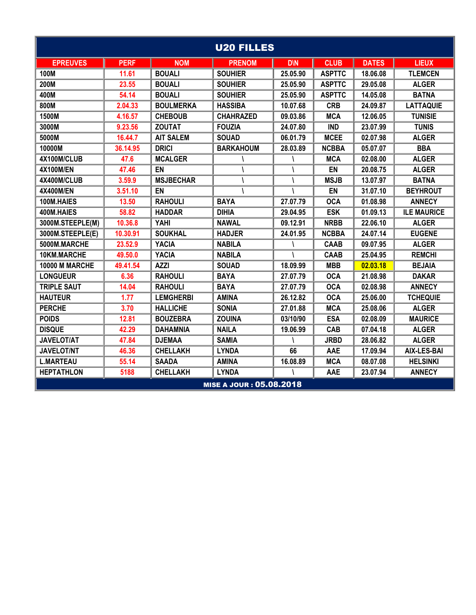| <b>U20 FILLES</b>     |             |                  |                                 |            |               |              |                    |  |  |  |
|-----------------------|-------------|------------------|---------------------------------|------------|---------------|--------------|--------------------|--|--|--|
| <b>EPREUVES</b>       | <b>PERF</b> | <b>NOM</b>       | <b>PRENOM</b>                   | <b>D\N</b> | <b>CLUB</b>   | <b>DATES</b> | <b>LIEUX</b>       |  |  |  |
| <b>100M</b>           | 11.61       | <b>BOUALI</b>    | <b>SOUHIER</b>                  | 25.05.90   | <b>ASPTTC</b> | 18.06.08     | <b>TLEMCEN</b>     |  |  |  |
| 200M                  | 23.55       | <b>BOUALI</b>    | <b>SOUHIER</b>                  | 25.05.90   | <b>ASPTTC</b> | 29.05.08     | <b>ALGER</b>       |  |  |  |
| 400M                  | 54.14       | <b>BOUALI</b>    | <b>SOUHIER</b>                  | 25.05.90   | <b>ASPTTC</b> | 14.05.08     | <b>BATNA</b>       |  |  |  |
| 800M                  | 2.04.33     | <b>BOULMERKA</b> | <b>HASSIBA</b>                  | 10.07.68   | <b>CRB</b>    | 24.09.87     | <b>LATTAQUIE</b>   |  |  |  |
| 1500M                 | 4.16.57     | <b>CHEBOUB</b>   | <b>CHAHRAZED</b>                | 09.03.86   | <b>MCA</b>    | 12.06.05     | <b>TUNISIE</b>     |  |  |  |
| 3000M                 | 9.23.56     | <b>ZOUTAT</b>    | <b>FOUZIA</b>                   | 24.07.80   | <b>IND</b>    | 23.07.99     | <b>TUNIS</b>       |  |  |  |
| 5000M                 | 16.44.7     | <b>AIT SALEM</b> | <b>SOUAD</b>                    | 06.01.79   | <b>MCEE</b>   | 02.07.98     | <b>ALGER</b>       |  |  |  |
| 10000M                | 36.14.95    | <b>DRICI</b>     | <b>BARKAHOUM</b>                | 28.03.89   | <b>NCBBA</b>  | 05.07.07     | <b>BBA</b>         |  |  |  |
| 4X100M/CLUB           | 47.6        | <b>MCALGER</b>   |                                 |            | <b>MCA</b>    | 02.08.00     | <b>ALGER</b>       |  |  |  |
| <b>4X100M/EN</b>      | 47.46       | EN               |                                 |            | EN            | 20.08.75     | <b>ALGER</b>       |  |  |  |
| 4X400M/CLUB           | 3.59.9      | <b>MSJBECHAR</b> |                                 |            | <b>MSJB</b>   | 13.07.97     | <b>BATNA</b>       |  |  |  |
| 4X400M/EN             | 3.51.10     | EN               |                                 |            | EN            | 31.07.10     | <b>BEYHROUT</b>    |  |  |  |
| 100M.HAIES            | 13.50       | <b>RAHOULI</b>   | <b>BAYA</b>                     | 27.07.79   | <b>OCA</b>    | 01.08.98     | <b>ANNECY</b>      |  |  |  |
| 400M.HAIES            | 58.82       | <b>HADDAR</b>    | <b>DIHIA</b>                    | 29.04.95   | <b>ESK</b>    | 01.09.13     | <b>ILE MAURICE</b> |  |  |  |
| 3000M.STEEPLE(M)      | 10.36.8     | YAHI             | <b>NAWAL</b>                    | 09.12.91   | <b>NRBB</b>   | 22.06.10     | <b>ALGER</b>       |  |  |  |
| 3000M.STEEPLE(E)      | 10.30.91    | <b>SOUKHAL</b>   | <b>HADJER</b>                   | 24.01.95   | <b>NCBBA</b>  | 24.07.14     | <b>EUGENE</b>      |  |  |  |
| 5000M.MARCHE          | 23.52.9     | <b>YACIA</b>     | <b>NABILA</b>                   |            | <b>CAAB</b>   | 09.07.95     | <b>ALGER</b>       |  |  |  |
| 10KM.MARCHE           | 49.50.0     | <b>YACIA</b>     | <b>NABILA</b>                   |            | <b>CAAB</b>   | 25.04.95     | <b>REMCHI</b>      |  |  |  |
| <b>10000 M MARCHE</b> | 49.41.54    | <b>AZZI</b>      | <b>SOUAD</b>                    | 18.09.99   | <b>MBB</b>    | 02.03.18     | <b>BEJAIA</b>      |  |  |  |
| <b>LONGUEUR</b>       | 6.36        | <b>RAHOULI</b>   | <b>BAYA</b>                     | 27.07.79   | <b>OCA</b>    | 21.08.98     | <b>DAKAR</b>       |  |  |  |
| <b>TRIPLE SAUT</b>    | 14.04       | <b>RAHOULI</b>   | <b>BAYA</b>                     | 27.07.79   | <b>OCA</b>    | 02.08.98     | <b>ANNECY</b>      |  |  |  |
| <b>HAUTEUR</b>        | 1.77        | <b>LEMGHERBI</b> | <b>AMINA</b>                    | 26.12.82   | <b>OCA</b>    | 25.06.00     | <b>TCHEQUIE</b>    |  |  |  |
| <b>PERCHE</b>         | 3.70        | <b>HALLICHE</b>  | <b>SONIA</b>                    | 27.01.88   | <b>MCA</b>    | 25.08.06     | <b>ALGER</b>       |  |  |  |
| <b>POIDS</b>          | 12.81       | <b>BOUZEBRA</b>  | <b>ZOUINA</b>                   | 03/10/90   | <b>ESA</b>    | 02.08.09     | <b>MAURICE</b>     |  |  |  |
| <b>DISQUE</b>         | 42.29       | <b>DAHAMNIA</b>  | <b>NAILA</b>                    | 19.06.99   | CAB           | 07.04.18     | <b>ALGER</b>       |  |  |  |
| <b>JAVELOT/AT</b>     | 47.84       | <b>DJEMAA</b>    | <b>SAMIA</b>                    |            | <b>JRBD</b>   | 28.06.82     | <b>ALGER</b>       |  |  |  |
| <b>JAVELOT/NT</b>     | 46.36       | <b>CHELLAKH</b>  | <b>LYNDA</b>                    | 66         | AAE           | 17.09.94     | <b>AIX-LES-BAI</b> |  |  |  |
| <b>L.MARTEAU</b>      | 55.14       | <b>SAADA</b>     | <b>AMINA</b>                    | 16.08.89   | <b>MCA</b>    | 08.07.08     | <b>HELSINKI</b>    |  |  |  |
| <b>HEPTATHLON</b>     | 5188        | <b>CHELLAKH</b>  | <b>LYNDA</b>                    |            | AAE           | 23.07.94     | <b>ANNECY</b>      |  |  |  |
|                       |             |                  | <b>MISE A JOUR : 05.08.2018</b> |            |               |              |                    |  |  |  |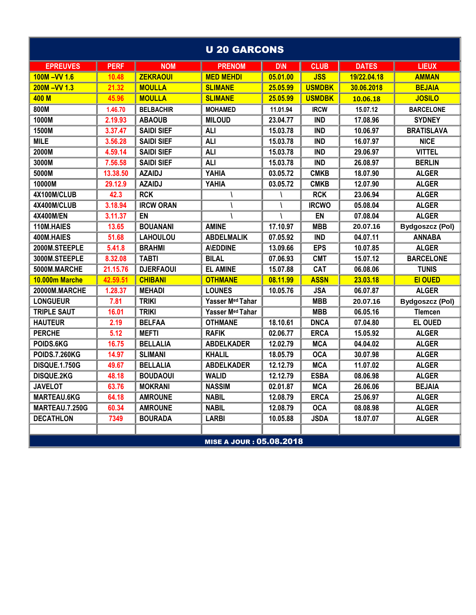|                      |             |                   | <b>U 20 GARCONS</b>      |            |               |              |                        |
|----------------------|-------------|-------------------|--------------------------|------------|---------------|--------------|------------------------|
| <b>EPREUVES</b>      | <b>PERF</b> | <b>NOM</b>        | <b>PRENOM</b>            | <b>D\N</b> | <b>CLUB</b>   | <b>DATES</b> | <b>LIEUX</b>           |
| $100M - VV 1.6$      | 10.48       | <b>ZEKRAOUI</b>   | <b>MED MEHDI</b>         | 05.01.00   | <b>JSS</b>    | 19/22.04.18  | <b>AMMAN</b>           |
| $200M - VV 1.3$      | 21.32       | <b>MOULLA</b>     | <b>SLIMANE</b>           | 25.05.99   | <b>USMDBK</b> | 30.06.2018   | <b>BEJAIA</b>          |
| 400 M                | 45.96       | <b>MOULLA</b>     | <b>SLIMANE</b>           | 25.05.99   | <b>USMDBK</b> | 10.06.18     | <b>JOSILO</b>          |
| 800M                 | 1.46.70     | <b>BELBACHIR</b>  | <b>MOHAMED</b>           | 11.01.94   | <b>IRCW</b>   | 15.07.12     | <b>BARCELONE</b>       |
| 1000M                | 2.19.93     | <b>ABAOUB</b>     | <b>MILOUD</b>            | 23.04.77   | <b>IND</b>    | 17.08.96     | <b>SYDNEY</b>          |
| 1500M                | 3.37.47     | <b>SAIDI SIEF</b> | <b>ALI</b>               | 15.03.78   | <b>IND</b>    | 10.06.97     | <b>BRATISLAVA</b>      |
| <b>MILE</b>          | 3.56.28     | <b>SAIDI SIEF</b> | <b>ALI</b>               | 15.03.78   | <b>IND</b>    | 16.07.97     | <b>NICE</b>            |
| 2000M                | 4.59.14     | <b>SAIDI SIEF</b> | <b>ALI</b>               | 15.03.78   | <b>IND</b>    | 29.06.97     | <b>VITTEL</b>          |
| 3000M                | 7.56.58     | <b>SAIDI SIEF</b> | <b>ALI</b>               | 15.03.78   | <b>IND</b>    | 26.08.97     | <b>BERLIN</b>          |
| 5000M                | 13.38.50    | <b>AZAIDJ</b>     | YAHIA                    | 03.05.72   | <b>CMKB</b>   | 18.07.90     | <b>ALGER</b>           |
| 10000M               | 29.12.9     | <b>AZAIDJ</b>     | YAHIA                    | 03.05.72   | <b>CMKB</b>   | 12.07.90     | <b>ALGER</b>           |
| 4X100M/CLUB          | 42.3        | <b>RCK</b>        |                          |            | <b>RCK</b>    | 23.06.94     | <b>ALGER</b>           |
| 4X400M/CLUB          | 3.18.94     | <b>IRCW ORAN</b>  |                          |            | <b>IRCWO</b>  | 05.08.04     | <b>ALGER</b>           |
| <b>4X400M/EN</b>     | 3.11.37     | EN                |                          |            | <b>EN</b>     | 07.08.04     | <b>ALGER</b>           |
| 110M.HAIES           | 13.65       | <b>BOUANANI</b>   | <b>AMINE</b>             | 17.10.97   | <b>MBB</b>    | 20.07.16     | <b>Bydgoszcz (Pol)</b> |
| 400M.HAIES           | 51.68       | <b>LAHOULOU</b>   | <b>ABDELMALIK</b>        | 07.05.92   | <b>IND</b>    | 04.07.11     | <b>ANNABA</b>          |
| 2000M.STEEPLE        | 5.41.8      | <b>BRAHMI</b>     | <b>A\EDDINE</b>          | 13.09.66   | <b>EPS</b>    | 10.07.85     | <b>ALGER</b>           |
| 3000M.STEEPLE        | 8.32.08     | <b>TABTI</b>      | <b>BILAL</b>             | 07.06.93   | <b>CMT</b>    | 15.07.12     | <b>BARCELONE</b>       |
| 5000M.MARCHE         | 21.15.76    | <b>DJERFAOUI</b>  | <b>EL AMINE</b>          | 15.07.88   | CAT           | 06.08.06     | <b>TUNIS</b>           |
| 10.000m Marche       | 42.59.51    | <b>CHIBANI</b>    | <b>OTHMANE</b>           | 08.11.99   | <b>ASSN</b>   | 23.03.18     | <b>EI OUED</b>         |
| 20000M.MARCHE        | 1.28.37     | <b>MEHADI</b>     | <b>LOUNES</b>            | 10.05.76   | <b>JSA</b>    | 06.07.87     | <b>ALGER</b>           |
| <b>LONGUEUR</b>      | 7.81        | <b>TRIKI</b>      | Yasser Med Tahar         |            | <b>MBB</b>    | 20.07.16     | <b>Bydgoszcz (Pol)</b> |
| <b>TRIPLE SAUT</b>   | 16.01       | <b>TRIKI</b>      | Yasser Med Tahar         |            | <b>MBB</b>    | 06.05.16     | <b>Tlemcen</b>         |
| <b>HAUTEUR</b>       | 2.19        | <b>BELFAA</b>     | <b>OTHMANE</b>           | 18.10.61   | <b>DNCA</b>   | 07.04.80     | <b>EL OUED</b>         |
| <b>PERCHE</b>        | 5.12        | <b>MEFTI</b>      | <b>RAFIK</b>             | 02.06.77   | <b>ERCA</b>   | 15.05.92     | <b>ALGER</b>           |
| POIDS.6KG            | 16.75       | <b>BELLALIA</b>   | <b>ABDELKADER</b>        | 12.02.79   | <b>MCA</b>    | 04.04.02     | <b>ALGER</b>           |
| <b>POIDS.7.260KG</b> | 14.97       | <b>SLIMANI</b>    | <b>KHALIL</b>            | 18.05.79   | <b>OCA</b>    | 30.07.98     | <b>ALGER</b>           |
| <b>DISQUE.1.750G</b> | 49.67       | <b>BELLALIA</b>   | <b>ABDELKADER</b>        | 12.12.79   | <b>MCA</b>    | 11.07.02     | <b>ALGER</b>           |
| <b>DISQUE.2KG</b>    | 48.18       | <b>BOUDAOUI</b>   | <b>WALID</b>             | 12.12.79   | <b>ESBA</b>   | 08.06.98     | <b>ALGER</b>           |
| <b>JAVELOT</b>       | 63.76       | <b>MOKRANI</b>    | <b>NASSIM</b>            | 02.01.87   | <b>MCA</b>    | 26.06.06     | <b>BEJAIA</b>          |
| <b>MARTEAU.6KG</b>   | 64.18       | <b>AMROUNE</b>    | <b>NABIL</b>             | 12.08.79   | <b>ERCA</b>   | 25.06.97     | <b>ALGER</b>           |
| MARTEAU.7.250G       | 60.34       | <b>AMROUNE</b>    | <b>NABIL</b>             | 12.08.79   | <b>OCA</b>    | 08.08.98     | <b>ALGER</b>           |
| <b>DECATHLON</b>     | 7349        | <b>BOURADA</b>    | <b>LARBI</b>             | 10.05.88   | <b>JSDA</b>   | 18.07.07     | <b>ALGER</b>           |
|                      |             |                   |                          |            |               |              |                        |
|                      |             |                   | MISE A JOUR : 05.08.2018 |            |               |              |                        |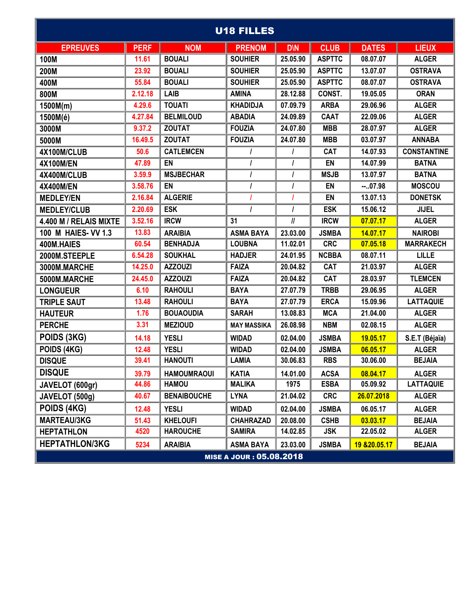| <b>U18 FILLES</b>      |             |                    |                          |            |               |               |                    |  |  |  |  |
|------------------------|-------------|--------------------|--------------------------|------------|---------------|---------------|--------------------|--|--|--|--|
| <b>EPREUVES</b>        | <b>PERF</b> | <b>NOM</b>         | <b>PRENOM</b>            | <b>D\N</b> | <b>CLUB</b>   | <b>DATES</b>  | <b>LIEUX</b>       |  |  |  |  |
| 100M                   | 11.61       | <b>BOUALI</b>      | <b>SOUHIER</b>           | 25.05.90   | <b>ASPTTC</b> | 08.07.07      | <b>ALGER</b>       |  |  |  |  |
| 200M                   | 23.92       | <b>BOUALI</b>      | <b>SOUHIER</b>           | 25.05.90   | <b>ASPTTC</b> | 13.07.07      | <b>OSTRAVA</b>     |  |  |  |  |
| 400M                   | 55.84       | <b>BOUALI</b>      | <b>SOUHIER</b>           | 25.05.90   | <b>ASPTTC</b> | 08.07.07      | <b>OSTRAVA</b>     |  |  |  |  |
| 800M                   | 2.12.18     | LAIB               | <b>AMINA</b>             | 28.12.88   | CONST.        | 19.05.05      | <b>ORAN</b>        |  |  |  |  |
| 1500M(m)               | 4.29.6      | <b>TOUATI</b>      | <b>KHADIDJA</b>          | 07.09.79   | <b>ARBA</b>   | 29.06.96      | <b>ALGER</b>       |  |  |  |  |
| 1500M(é)               | 4.27.84     | <b>BELMILOUD</b>   | <b>ABADIA</b>            | 24.09.89   | <b>CAAT</b>   | 22.09.06      | <b>ALGER</b>       |  |  |  |  |
| 3000M                  | 9.37.2      | <b>ZOUTAT</b>      | <b>FOUZIA</b>            | 24.07.80   | <b>MBB</b>    | 28.07.97      | <b>ALGER</b>       |  |  |  |  |
| 5000M                  | 16.49.5     | <b>ZOUTAT</b>      | <b>FOUZIA</b>            | 24.07.80   | <b>MBB</b>    | 03.07.97      | <b>ANNABA</b>      |  |  |  |  |
| 4X100M/CLUB            | 50.6        | <b>CATLEMCEN</b>   |                          |            | CAT           | 14.07.93      | <b>CONSTANTINE</b> |  |  |  |  |
| <b>4X100M/EN</b>       | 47.89       | EN                 | I                        |            | EN            | 14.07.99      | <b>BATNA</b>       |  |  |  |  |
| 4X400M/CLUB            | 3.59.9      | <b>MSJBECHAR</b>   | $\prime$                 |            | <b>MSJB</b>   | 13.07.97      | <b>BATNA</b>       |  |  |  |  |
| <b>4X400M/EN</b>       | 3.58.76     | <b>EN</b>          |                          |            | EN            | $-.07.98$     | <b>MOSCOU</b>      |  |  |  |  |
| <b>MEDLEY/EN</b>       | 2.16.84     | <b>ALGERIE</b>     |                          |            | EN            | 13.07.13      | <b>DONETSK</b>     |  |  |  |  |
| <b>MEDLEY/CLUB</b>     | 2.20.69     | <b>ESK</b>         | $\prime$                 |            | <b>ESK</b>    | 15.06.12      | <b>JIJEL</b>       |  |  |  |  |
| 4.400 M / RELAIS MIXTE | 3.52.16     | <b>IRCW</b>        | 31                       | II         | <b>IRCW</b>   | 07.07.17      | <b>ALGER</b>       |  |  |  |  |
| 100 M HAIES- VV 1.3    | 13.83       | <b>ARAIBIA</b>     | <b>ASMA BAYA</b>         | 23.03.00   | <b>JSMBA</b>  | 14.07.17      | <b>NAIROBI</b>     |  |  |  |  |
| 400M.HAIES             | 60.54       | <b>BENHADJA</b>    | <b>LOUBNA</b>            | 11.02.01   | <b>CRC</b>    | 07.05.18      | <b>MARRAKECH</b>   |  |  |  |  |
| 2000M.STEEPLE          | 6.54.28     | <b>SOUKHAL</b>     | <b>HADJER</b>            | 24.01.95   | <b>NCBBA</b>  | 08.07.11      | <b>LILLE</b>       |  |  |  |  |
| 3000M.MARCHE           | 14.25.0     | <b>AZZOUZI</b>     | <b>FAIZA</b>             | 20.04.82   | CAT           | 21.03.97      | <b>ALGER</b>       |  |  |  |  |
| 5000M.MARCHE           | 24.45.0     | <b>AZZOUZI</b>     | <b>FAIZA</b>             | 20.04.82   | CAT           | 28.03.97      | <b>TLEMCEN</b>     |  |  |  |  |
| <b>LONGUEUR</b>        | 6.10        | <b>RAHOULI</b>     | <b>BAYA</b>              | 27.07.79   | <b>TRBB</b>   | 29.06.95      | <b>ALGER</b>       |  |  |  |  |
| <b>TRIPLE SAUT</b>     | 13.48       | <b>RAHOULI</b>     | <b>BAYA</b>              | 27.07.79   | <b>ERCA</b>   | 15.09.96      | <b>LATTAQUIE</b>   |  |  |  |  |
| <b>HAUTEUR</b>         | 1.76        | <b>BOUAOUDIA</b>   | <b>SARAH</b>             | 13.08.83   | <b>MCA</b>    | 21.04.00      | <b>ALGER</b>       |  |  |  |  |
| <b>PERCHE</b>          | 3.31        | <b>MEZIOUD</b>     | <b>MAY MASSIKA</b>       | 26.08.98   | <b>NBM</b>    | 02.08.15      | <b>ALGER</b>       |  |  |  |  |
| POIDS (3KG)            | 14.18       | <b>YESLI</b>       | <b>WIDAD</b>             | 02.04.00   | <b>JSMBA</b>  | 19.05.17      | S.E.T (Béjaïa)     |  |  |  |  |
| POIDS (4KG)            | 12.48       | <b>YESLI</b>       | <b>WIDAD</b>             | 02.04.00   | <b>JSMBA</b>  | 06.05.17      | <b>ALGER</b>       |  |  |  |  |
| <b>DISQUE</b>          | 39.41       | <b>HANOUTI</b>     | <b>LAMIA</b>             | 30.06.83   | <b>RBS</b>    | 30.06.00      | <b>BEJAIA</b>      |  |  |  |  |
| <b>DISQUE</b>          | 39.79       | <b>HAMOUMRAOUI</b> | <b>KATIA</b>             | 14.01.00   | <b>ACSA</b>   | 08.04.17      | <b>ALGER</b>       |  |  |  |  |
| JAVELOT (600gr)        | 44.86       | <b>HAMOU</b>       | <b>MALIKA</b>            | 1975       | <b>ESBA</b>   | 05.09.92      | <b>LATTAQUIE</b>   |  |  |  |  |
| JAVELOT (500g)         | 40.67       | <b>BENAIBOUCHE</b> | <b>LYNA</b>              | 21.04.02   | <b>CRC</b>    | 26.07.2018    | <b>ALGER</b>       |  |  |  |  |
| POIDS (4KG)            | 12.48       | <b>YESLI</b>       | <b>WIDAD</b>             | 02.04.00   | <b>JSMBA</b>  | 06.05.17      | <b>ALGER</b>       |  |  |  |  |
| <b>MARTEAU/3KG</b>     | 51.43       | <b>KHELOUFI</b>    | <b>CHAHRAZAD</b>         | 20.08.00   | <b>CSHB</b>   | 03.03.17      | <b>BEJAIA</b>      |  |  |  |  |
| <b>HEPTATHLON</b>      | 4520        | <b>HAROUCHE</b>    | <b>SAMIRA</b>            | 14.02.85   | <b>JSK</b>    | 22.05.02      | <b>ALGER</b>       |  |  |  |  |
| <b>HEPTATHLON/3KG</b>  | 5234        | <b>ARAIBIA</b>     | <b>ASMA BAYA</b>         | 23.03.00   | <b>JSMBA</b>  | 19 & 20.05.17 | <b>BEJAIA</b>      |  |  |  |  |
|                        |             |                    | MISE A JOUR : 05.08.2018 |            |               |               |                    |  |  |  |  |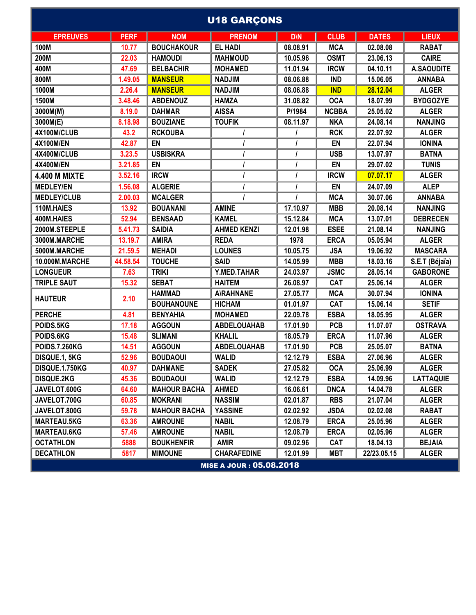| <b>U18 GARÇONS</b>   |             |                     |                          |            |              |              |                   |  |  |  |
|----------------------|-------------|---------------------|--------------------------|------------|--------------|--------------|-------------------|--|--|--|
| <b>EPREUVES</b>      | <b>PERF</b> | <b>NOM</b>          | <b>PRENOM</b>            | <b>D\N</b> | <b>CLUB</b>  | <b>DATES</b> | <b>LIEUX</b>      |  |  |  |
| 100M                 | 10.77       | <b>BOUCHAKOUR</b>   | <b>EL HADI</b>           | 08.08.91   | <b>MCA</b>   | 02.08.08     | <b>RABAT</b>      |  |  |  |
| 200M                 | 22.03       | <b>HAMOUDI</b>      | <b>MAHMOUD</b>           | 10.05.96   | <b>OSMT</b>  | 23.06.13     | <b>CAIRE</b>      |  |  |  |
| 400M                 | 47.69       | <b>BELBACHIR</b>    | <b>MOHAMED</b>           | 11.01.94   | <b>IRCW</b>  | 04.10.11     | <b>A.SAOUDITE</b> |  |  |  |
| 800M                 | 1.49.05     | <b>MANSEUR</b>      | <b>NADJIM</b>            | 08.06.88   | <b>IND</b>   | 15.06.05     | <b>ANNABA</b>     |  |  |  |
| 1000M                | 2.26.4      | <b>MANSEUR</b>      | <b>NADJIM</b>            | 08.06.88   | <b>IND</b>   | 28.12.04     | <b>ALGER</b>      |  |  |  |
| 1500M                | 3.48.46     | <b>ABDENOUZ</b>     | <b>HAMZA</b>             | 31.08.82   | <b>OCA</b>   | 18.07.99     | <b>BYDGOZYE</b>   |  |  |  |
| 3000M(M)             | 8.19.0      | <b>DAHMAR</b>       | <b>AISSA</b>             | P/1984     | <b>NCBBA</b> | 25.05.02     | <b>ALGER</b>      |  |  |  |
| 3000M(E)             | 8.18.98     | <b>BOUZIANE</b>     | <b>TOUFIK</b>            | 08.11.97   | <b>NKA</b>   | 24.08.14     | <b>NANJING</b>    |  |  |  |
| 4X100M/CLUB          | 43.2        | <b>RCKOUBA</b>      |                          |            | <b>RCK</b>   | 22.07.92     | <b>ALGER</b>      |  |  |  |
| <b>4X100M/EN</b>     | 42.87       | EN                  |                          | $\prime$   | EN           | 22.07.94     | <b>IONINA</b>     |  |  |  |
| 4X400M/CLUB          | 3.23.5      | <b>USBISKRA</b>     |                          |            | <b>USB</b>   | 13.07.97     | <b>BATNA</b>      |  |  |  |
| 4X400M/EN            | 3.21.85     | EN                  |                          | $\prime$   | EN           | 29.07.02     | <b>TUNIS</b>      |  |  |  |
| <b>4.400 M MIXTE</b> | 3.52.16     | <b>IRCW</b>         |                          | $\prime$   | <b>IRCW</b>  | 07.07.17     | <b>ALGER</b>      |  |  |  |
| <b>MEDLEY/EN</b>     | 1.56.08     | <b>ALGERIE</b>      |                          |            | EN           | 24.07.09     | <b>ALEP</b>       |  |  |  |
| <b>MEDLEY/CLUB</b>   | 2.00.03     | <b>MCALGER</b>      |                          |            | <b>MCA</b>   | 30.07.06     | <b>ANNABA</b>     |  |  |  |
| 110M.HAIES           | 13.92       | <b>BOUANANI</b>     | <b>AMINE</b>             | 17.10.97   | <b>MBB</b>   | 20.08.14     | <b>NANJING</b>    |  |  |  |
| 400M.HAIES           | 52.94       | <b>BENSAAD</b>      | <b>KAMEL</b>             | 15.12.84   | <b>MCA</b>   | 13.07.01     | <b>DEBRECEN</b>   |  |  |  |
| 2000M.STEEPLE        | 5.41.73     | <b>SAIDIA</b>       | <b>AHMED KENZI</b>       | 12.01.98   | <b>ESEE</b>  | 21.08.14     | <b>NANJING</b>    |  |  |  |
| 3000M.MARCHE         | 13.19.7     | <b>AMIRA</b>        | <b>REDA</b>              | 1978       | <b>ERCA</b>  | 05.05.94     | <b>ALGER</b>      |  |  |  |
| 5000M.MARCHE         | 21.59.5     | <b>MEHADI</b>       | <b>LOUNES</b>            | 10.05.75   | <b>JSA</b>   | 19.06.92     | <b>MASCARA</b>    |  |  |  |
| 10.000M.MARCHE       | 44.58.54    | <b>TOUCHE</b>       | <b>SAID</b>              | 14.05.99   | <b>MBB</b>   | 18.03.16     | S.E.T (Béjaïa)    |  |  |  |
| <b>LONGUEUR</b>      | 7.63        | <b>TRIKI</b>        | Y.MED.TAHAR              | 24.03.97   | <b>JSMC</b>  | 28.05.14     | <b>GABORONE</b>   |  |  |  |
| <b>TRIPLE SAUT</b>   | 15.32       | <b>SEBAT</b>        | <b>HAITEM</b>            | 26.08.97   | <b>CAT</b>   | 25.06.14     | <b>ALGER</b>      |  |  |  |
|                      |             | <b>HAMMAD</b>       | <b>A\RAHNANE</b>         | 27.05.77   | <b>MCA</b>   | 30.07.94     | <b>IONINA</b>     |  |  |  |
| <b>HAUTEUR</b>       | 2.10        | <b>BOUHANOUNE</b>   | <b>HICHAM</b>            | 01.01.97   | CAT          | 15.06.14     | <b>SETIF</b>      |  |  |  |
| <b>PERCHE</b>        | 4.81        | <b>BENYAHIA</b>     | <b>MOHAMED</b>           | 22.09.78   | <b>ESBA</b>  | 18.05.95     | <b>ALGER</b>      |  |  |  |
| POIDS.5KG            | 17.18       | <b>AGGOUN</b>       | <b>ABDELOUAHAB</b>       | 17.01.90   | <b>PCB</b>   | 11.07.07     | <b>OSTRAVA</b>    |  |  |  |
| POIDS.6KG            | 15.48       | <b>SLIMANI</b>      | <b>KHALIL</b>            | 18.05.79   | <b>ERCA</b>  | 11.07.96     | <b>ALGER</b>      |  |  |  |
| <b>POIDS.7.260KG</b> | 14.51       | <b>AGGOUN</b>       | <b>ABDELOUAHAB</b>       | 17.01.90   | <b>PCB</b>   | 25.05.07     | <b>BATNA</b>      |  |  |  |
| DISQUE.1, 5KG        | 52.96       | <b>BOUDAOUI</b>     | <b>WALID</b>             | 12.12.79   | <b>ESBA</b>  | 27.06.96     | <b>ALGER</b>      |  |  |  |
| DISQUE.1.750KG       | 40.97       | <b>DAHMANE</b>      | <b>SADEK</b>             | 27.05.82   | <b>OCA</b>   | 25.06.99     | <b>ALGER</b>      |  |  |  |
| <b>DISQUE.2KG</b>    | 45.36       | <b>BOUDAOUI</b>     | <b>WALID</b>             | 12.12.79   | <b>ESBA</b>  | 14.09.96     | <b>LATTAQUIE</b>  |  |  |  |
| JAVELOT.600G         | 64.60       | <b>MAHOUR BACHA</b> | <b>AHMED</b>             | 16.06.61   | <b>DNCA</b>  | 14.04.78     | <b>ALGER</b>      |  |  |  |
| JAVELOT.700G         | 60.85       | <b>MOKRANI</b>      | <b>NASSIM</b>            | 02.01.87   | <b>RBS</b>   | 21.07.04     | <b>ALGER</b>      |  |  |  |
| JAVELOT.800G         | 59.78       | <b>MAHOUR BACHA</b> | <b>YASSINE</b>           | 02.02.92   | <b>JSDA</b>  | 02.02.08     | <b>RABAT</b>      |  |  |  |
| <b>MARTEAU.5KG</b>   | 63.36       | <b>AMROUNE</b>      | <b>NABIL</b>             | 12.08.79   | <b>ERCA</b>  | 25.05.96     | <b>ALGER</b>      |  |  |  |
| <b>MARTEAU.6KG</b>   | 57.46       | <b>AMROUNE</b>      | <b>NABIL</b>             | 12.08.79   | <b>ERCA</b>  | 02.05.96     | <b>ALGER</b>      |  |  |  |
| <b>OCTATHLON</b>     | 5888        | <b>BOUKHENFIR</b>   | <b>AMIR</b>              | 09.02.96   | <b>CAT</b>   | 18.04.13     | <b>BEJAIA</b>     |  |  |  |
| <b>DECATHLON</b>     | 5817        | <b>MIMOUNE</b>      | <b>CHARAFEDINE</b>       | 12.01.99   | <b>MBT</b>   | 22/23.05.15  | <b>ALGER</b>      |  |  |  |
|                      |             |                     | MISE A JOUR : 05.08.2018 |            |              |              |                   |  |  |  |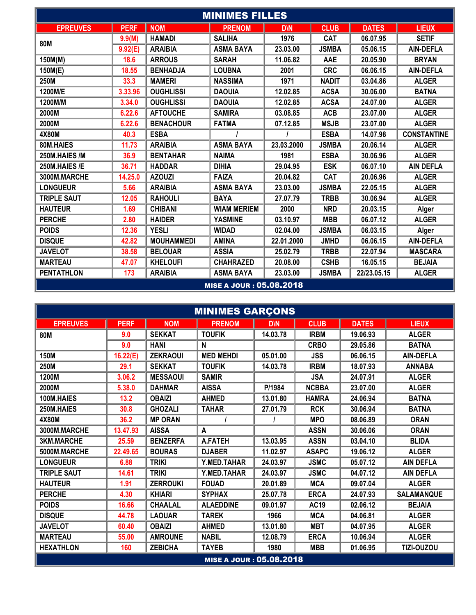| <b>MINIMES FILLES</b> |             |                   |                                 |                        |              |              |                    |  |  |  |  |
|-----------------------|-------------|-------------------|---------------------------------|------------------------|--------------|--------------|--------------------|--|--|--|--|
| <b>EPREUVES</b>       | <b>PERF</b> | <b>NOM</b>        | <b>PRENOM</b>                   | <b>D</b> <sub>IN</sub> | <b>CLUB</b>  | <b>DATES</b> | <b>LIEUX</b>       |  |  |  |  |
| <b>80M</b>            | 9.9(M)      | <b>HAMADI</b>     | <b>SALIHA</b>                   | 1976                   | <b>CAT</b>   | 06.07.95     | <b>SETIF</b>       |  |  |  |  |
|                       | 9.92(E)     | <b>ARAIBIA</b>    | <b>ASMA BAYA</b>                | 23.03.00               | <b>JSMBA</b> | 05.06.15     | <b>AIN-DEFLA</b>   |  |  |  |  |
| 150M(M)               | 18.6        | <b>ARROUS</b>     | <b>SARAH</b>                    | 11.06.82               | AAE          | 20.05.90     | <b>BRYAN</b>       |  |  |  |  |
| 150M(E)               | 18.55       | <b>BENHADJA</b>   | <b>LOUBNA</b>                   | 2001                   | <b>CRC</b>   | 06.06.15     | <b>AIN-DEFLA</b>   |  |  |  |  |
| 250M                  | 33.3        | <b>MAMERI</b>     | <b>NASSIMA</b>                  | 1971                   | <b>NADIT</b> | 03.04.86     | <b>ALGER</b>       |  |  |  |  |
| 1200M/E               | 3.33.96     | <b>OUGHLISSI</b>  | <b>DAOUIA</b>                   | 12.02.85               | <b>ACSA</b>  | 30.06.00     | <b>BATNA</b>       |  |  |  |  |
| 1200M/M               | 3.34.0      | <b>OUGHLISSI</b>  | <b>DAOUIA</b>                   | 12.02.85               | <b>ACSA</b>  | 24.07.00     | <b>ALGER</b>       |  |  |  |  |
| 2000M                 | 6.22.6      | <b>AFTOUCHE</b>   | <b>SAMIRA</b>                   | 03.08.85               | <b>ACB</b>   | 23.07.00     | <b>ALGER</b>       |  |  |  |  |
| 2000M                 | 6.22.6      | <b>BENACHOUR</b>  | <b>FATMA</b>                    | 07.12.85               | <b>MSJB</b>  | 23.07.00     | <b>ALGER</b>       |  |  |  |  |
| 4X80M                 | 40.3        | <b>ESBA</b>       |                                 |                        | <b>ESBA</b>  | 14.07.98     | <b>CONSTANTINE</b> |  |  |  |  |
| 80M.HAIES             | 11.73       | <b>ARAIBIA</b>    | <b>ASMA BAYA</b>                | 23.03.2000             | <b>JSMBA</b> | 20.06.14     | <b>ALGER</b>       |  |  |  |  |
| 250M.HAIES /M         | 36.9        | <b>BENTAHAR</b>   | <b>NAIMA</b>                    | 1981                   | <b>ESBA</b>  | 30.06.96     | <b>ALGER</b>       |  |  |  |  |
| 250M.HAIES /E         | 36.71       | <b>HADDAR</b>     | <b>DIHIA</b>                    | 29.04.95               | <b>ESK</b>   | 06.07.10     | <b>AIN DEFLA</b>   |  |  |  |  |
| 3000M.MARCHE          | 14.25.0     | <b>AZOUZI</b>     | <b>FAIZA</b>                    | 20.04.82               | CAT          | 20.06.96     | <b>ALGER</b>       |  |  |  |  |
| <b>LONGUEUR</b>       | 5.66        | <b>ARAIBIA</b>    | <b>ASMA BAYA</b>                | 23.03.00               | <b>JSMBA</b> | 22.05.15     | <b>ALGER</b>       |  |  |  |  |
| <b>TRIPLE SAUT</b>    | 12.05       | <b>RAHOULI</b>    | <b>BAYA</b>                     | 27.07.79               | <b>TRBB</b>  | 30.06.94     | <b>ALGER</b>       |  |  |  |  |
| <b>HAUTEUR</b>        | 1.69        | <b>CHIBANI</b>    | <b>WIAM MERIEM</b>              | 2000                   | <b>NRD</b>   | 20.03.15     | Alger              |  |  |  |  |
| <b>PERCHE</b>         | 2.80        | <b>HAIDER</b>     | <b>YASMINE</b>                  | 03.10.97               | <b>MBB</b>   | 06.07.12     | <b>ALGER</b>       |  |  |  |  |
| <b>POIDS</b>          | 12.36       | <b>YESLI</b>      | <b>WIDAD</b>                    | 02.04.00               | <b>JSMBA</b> | 06.03.15     | Alger              |  |  |  |  |
| <b>DISQUE</b>         | 42.82       | <b>MOUHAMMEDI</b> | <b>AMINA</b>                    | 22.01.2000             | <b>JMHD</b>  | 06.06.15     | <b>AIN-DEFLA</b>   |  |  |  |  |
| <b>JAVELOT</b>        | 38.58       | <b>BELOUAR</b>    | <b>ASSIA</b>                    | 25.02.79               | <b>TRBB</b>  | 22.07.94     | <b>MASCARA</b>     |  |  |  |  |
| <b>MARTEAU</b>        | 47.07       | <b>KHELOUFI</b>   | <b>CHAHRAZED</b>                | 20.08.00               | <b>CSHB</b>  | 16.05.15     | <b>BEJAIA</b>      |  |  |  |  |
| <b>PENTATHLON</b>     | 173         | <b>ARAIBIA</b>    | <b>ASMA BAYA</b>                | 23.03.00               | <b>JSMBA</b> | 22/23.05.15  | <b>ALGER</b>       |  |  |  |  |
|                       |             |                   | <b>MISE A JOUR : 05.08.2018</b> |                        |              |              |                    |  |  |  |  |

| <b>MINIMES GARÇONS</b> |             |                 |                                 |            |              |              |                   |  |  |  |  |
|------------------------|-------------|-----------------|---------------------------------|------------|--------------|--------------|-------------------|--|--|--|--|
| <b>EPREUVES</b>        | <b>PERF</b> | <b>NOM</b>      | <b>PRENOM</b>                   | <b>DIN</b> | <b>CLUB</b>  | <b>DATES</b> | <b>LIEUX</b>      |  |  |  |  |
| <b>80M</b>             | 9.0         | <b>SEKKAT</b>   | <b>TOUFIK</b>                   | 14.03.78   | <b>IRBM</b>  | 19.06.93     | <b>ALGER</b>      |  |  |  |  |
|                        | 9.0         | <b>HANI</b>     | N                               |            | <b>CRBO</b>  | 29.05.86     | <b>BATNA</b>      |  |  |  |  |
| <b>150M</b>            | 16.22(E)    | <b>ZEKRAOUI</b> | <b>MED MEHDI</b>                | 05.01.00   | <b>JSS</b>   | 06.06.15     | <b>AIN-DEFLA</b>  |  |  |  |  |
| 250M                   | 29.1        | <b>SEKKAT</b>   | <b>TOUFIK</b>                   | 14.03.78   | <b>IRBM</b>  | 18.07.93     | <b>ANNABA</b>     |  |  |  |  |
| 1200M                  | 3.06.2      | <b>MESSAOUI</b> | <b>SAMIR</b>                    |            | <b>JSA</b>   | 24.07.91     | <b>ALGER</b>      |  |  |  |  |
| 2000M                  | 5.38.0      | <b>DAHMAR</b>   | <b>AISSA</b>                    | P/1984     | <b>NCBBA</b> | 23.07.00     | <b>ALGER</b>      |  |  |  |  |
| 100M.HAIES             | 13.2        | <b>OBAIZI</b>   | <b>AHMED</b>                    | 13.01.80   | <b>HAMRA</b> | 24.06.94     | <b>BATNA</b>      |  |  |  |  |
| 250M.HAIES             | 30.8        | <b>GHOZALI</b>  | <b>TAHAR</b>                    | 27.01.79   | <b>RCK</b>   | 30.06.94     | <b>BATNA</b>      |  |  |  |  |
| 4X80M                  | 36.2        | <b>MP ORAN</b>  |                                 |            | <b>MPO</b>   | 08.06.89     | <b>ORAN</b>       |  |  |  |  |
| 3000M.MARCHE           | 13.47.93    | <b>AISSA</b>    | A                               |            | <b>ASSN</b>  | 30.06.06     | <b>ORAN</b>       |  |  |  |  |
| <b>3KM.MARCHE</b>      | 25.59       | <b>BENZERFA</b> | <b>A.FATEH</b>                  | 13.03.95   | <b>ASSN</b>  | 03.04.10     | <b>BLIDA</b>      |  |  |  |  |
| 5000M.MARCHE           | 22.49.65    | <b>BOURAS</b>   | <b>DJABER</b>                   | 11.02.97   | <b>ASAPC</b> | 19.06.12     | <b>ALGER</b>      |  |  |  |  |
| <b>LONGUEUR</b>        | 6.88        | <b>TRIKI</b>    | Y.MED.TAHAR                     | 24.03.97   | <b>JSMC</b>  | 05.07.12     | <b>AIN DEFLA</b>  |  |  |  |  |
| <b>TRIPLE SAUT</b>     | 14.61       | <b>TRIKI</b>    | Y.MED.TAHAR                     | 24.03.97   | <b>JSMC</b>  | 04.07.12     | <b>AIN DEFLA</b>  |  |  |  |  |
| <b>HAUTEUR</b>         | 1.91        | <b>ZERROUKI</b> | <b>FOUAD</b>                    | 20.01.89   | <b>MCA</b>   | 09.07.04     | <b>ALGER</b>      |  |  |  |  |
| <b>PERCHE</b>          | 4.30        | <b>KHIARI</b>   | <b>SYPHAX</b>                   | 25.07.78   | <b>ERCA</b>  | 24.07.93     | <b>SALAMANQUE</b> |  |  |  |  |
| <b>POIDS</b>           | 16.66       | <b>CHAALAL</b>  | <b>ALAEDDINE</b>                | 09.01.97   | <b>AC19</b>  | 02.06.12     | <b>BEJAIA</b>     |  |  |  |  |
| <b>DISQUE</b>          | 44.78       | <b>LAOUAR</b>   | <b>TAREK</b>                    | 1966       | <b>MCA</b>   | 04.06.81     | <b>ALGER</b>      |  |  |  |  |
| <b>JAVELOT</b>         | 60.40       | <b>OBAIZI</b>   | <b>AHMED</b>                    | 13.01.80   | <b>MBT</b>   | 04.07.95     | <b>ALGER</b>      |  |  |  |  |
| <b>MARTEAU</b>         | 55.00       | <b>AMROUNE</b>  | <b>NABIL</b>                    | 12.08.79   | <b>ERCA</b>  | 10.06.94     | <b>ALGER</b>      |  |  |  |  |
| <b>HEXATHLON</b>       | 160         | <b>ZEBICHA</b>  | <b>TAYEB</b>                    | 1980       | <b>MBB</b>   | 01.06.95     | TIZI-OUZOU        |  |  |  |  |
|                        |             |                 | <b>MISE A JOUR : 05.08.2018</b> |            |              |              |                   |  |  |  |  |